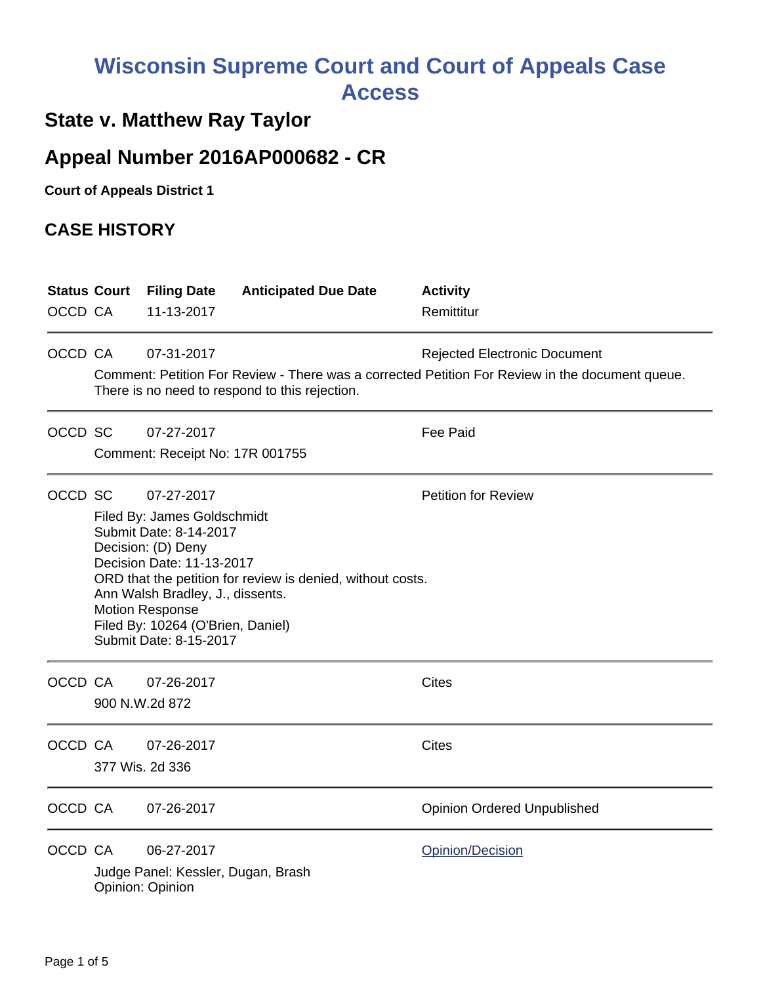## **Wisconsin Supreme Court and Court of Appeals Case Access**

## **State v. Matthew Ray Taylor**

## **Appeal Number 2016AP000682 - CR**

**Court of Appeals District 1**

## **CASE HISTORY**

|         | <b>Status Court</b>                                                                                                                                                                                                                                                                                 | <b>Filing Date</b>              | <b>Anticipated Due Date</b> | <b>Activity</b>                     |  |
|---------|-----------------------------------------------------------------------------------------------------------------------------------------------------------------------------------------------------------------------------------------------------------------------------------------------------|---------------------------------|-----------------------------|-------------------------------------|--|
| OCCD CA |                                                                                                                                                                                                                                                                                                     | 11-13-2017                      |                             | Remittitur                          |  |
| OCCD CA |                                                                                                                                                                                                                                                                                                     | 07-31-2017                      |                             | <b>Rejected Electronic Document</b> |  |
|         | Comment: Petition For Review - There was a corrected Petition For Review in the document queue.<br>There is no need to respond to this rejection.                                                                                                                                                   |                                 |                             |                                     |  |
| OCCD SC |                                                                                                                                                                                                                                                                                                     | 07-27-2017                      |                             | <b>Fee Paid</b>                     |  |
|         |                                                                                                                                                                                                                                                                                                     | Comment: Receipt No: 17R 001755 |                             |                                     |  |
| OCCD SC |                                                                                                                                                                                                                                                                                                     | 07-27-2017                      |                             | <b>Petition for Review</b>          |  |
|         | Filed By: James Goldschmidt<br>Submit Date: 8-14-2017<br>Decision: (D) Deny<br>Decision Date: 11-13-2017<br>ORD that the petition for review is denied, without costs.<br>Ann Walsh Bradley, J., dissents.<br><b>Motion Response</b><br>Filed By: 10264 (O'Brien, Daniel)<br>Submit Date: 8-15-2017 |                                 |                             |                                     |  |
| OCCD CA | 07-26-2017<br>900 N.W.2d 872                                                                                                                                                                                                                                                                        |                                 |                             | <b>Cites</b>                        |  |
| OCCD CA | 07-26-2017<br>377 Wis. 2d 336                                                                                                                                                                                                                                                                       |                                 |                             | <b>Cites</b>                        |  |
| OCCD CA |                                                                                                                                                                                                                                                                                                     | 07-26-2017                      |                             | <b>Opinion Ordered Unpublished</b>  |  |
| OCCD CA |                                                                                                                                                                                                                                                                                                     | 06-27-2017                      |                             | Opinion/Decision                    |  |
|         | Judge Panel: Kessler, Dugan, Brash<br>Opinion: Opinion                                                                                                                                                                                                                                              |                                 |                             |                                     |  |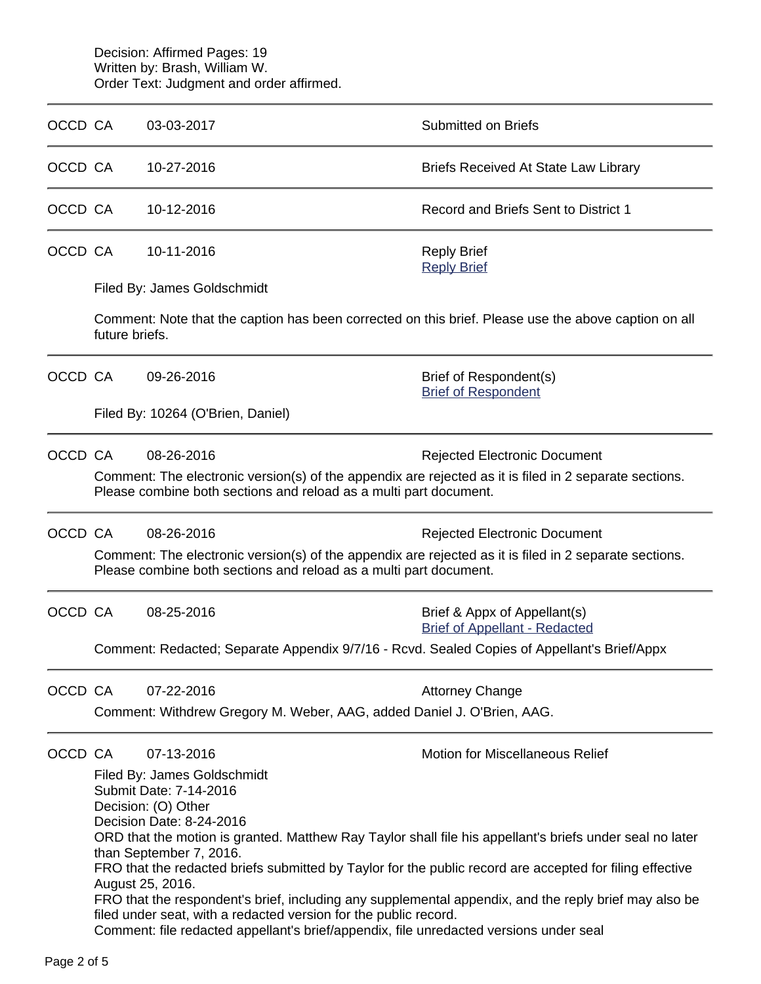Decision: Affirmed Pages: 19 Written by: Brash, William W. Order Text: Judgment and order affirmed.

| OCCD CA |                                                                                                                                                                                                                                                                                                                                                                                                                                                                                                                                                                                                                                                                                                                | 03-03-2017                                                                                                             | Submitted on Briefs                                                  |  |  |  |  |
|---------|----------------------------------------------------------------------------------------------------------------------------------------------------------------------------------------------------------------------------------------------------------------------------------------------------------------------------------------------------------------------------------------------------------------------------------------------------------------------------------------------------------------------------------------------------------------------------------------------------------------------------------------------------------------------------------------------------------------|------------------------------------------------------------------------------------------------------------------------|----------------------------------------------------------------------|--|--|--|--|
| OCCD CA |                                                                                                                                                                                                                                                                                                                                                                                                                                                                                                                                                                                                                                                                                                                | 10-27-2016                                                                                                             | <b>Briefs Received At State Law Library</b>                          |  |  |  |  |
| OCCD CA |                                                                                                                                                                                                                                                                                                                                                                                                                                                                                                                                                                                                                                                                                                                | 10-12-2016                                                                                                             | Record and Briefs Sent to District 1                                 |  |  |  |  |
| OCCD CA |                                                                                                                                                                                                                                                                                                                                                                                                                                                                                                                                                                                                                                                                                                                | 10-11-2016                                                                                                             | <b>Reply Brief</b><br><b>Reply Brief</b>                             |  |  |  |  |
|         |                                                                                                                                                                                                                                                                                                                                                                                                                                                                                                                                                                                                                                                                                                                | Filed By: James Goldschmidt                                                                                            |                                                                      |  |  |  |  |
|         |                                                                                                                                                                                                                                                                                                                                                                                                                                                                                                                                                                                                                                                                                                                | Comment: Note that the caption has been corrected on this brief. Please use the above caption on all<br>future briefs. |                                                                      |  |  |  |  |
| OCCD CA |                                                                                                                                                                                                                                                                                                                                                                                                                                                                                                                                                                                                                                                                                                                | 09-26-2016                                                                                                             | Brief of Respondent(s)<br><b>Brief of Respondent</b>                 |  |  |  |  |
|         |                                                                                                                                                                                                                                                                                                                                                                                                                                                                                                                                                                                                                                                                                                                | Filed By: 10264 (O'Brien, Daniel)                                                                                      |                                                                      |  |  |  |  |
| OCCD CA |                                                                                                                                                                                                                                                                                                                                                                                                                                                                                                                                                                                                                                                                                                                | 08-26-2016                                                                                                             | <b>Rejected Electronic Document</b>                                  |  |  |  |  |
|         | Comment: The electronic version(s) of the appendix are rejected as it is filed in 2 separate sections.<br>Please combine both sections and reload as a multi part document.                                                                                                                                                                                                                                                                                                                                                                                                                                                                                                                                    |                                                                                                                        |                                                                      |  |  |  |  |
| OCCD CA |                                                                                                                                                                                                                                                                                                                                                                                                                                                                                                                                                                                                                                                                                                                | 08-26-2016                                                                                                             | <b>Rejected Electronic Document</b>                                  |  |  |  |  |
|         | Comment: The electronic version(s) of the appendix are rejected as it is filed in 2 separate sections.<br>Please combine both sections and reload as a multi part document.                                                                                                                                                                                                                                                                                                                                                                                                                                                                                                                                    |                                                                                                                        |                                                                      |  |  |  |  |
| OCCD CA |                                                                                                                                                                                                                                                                                                                                                                                                                                                                                                                                                                                                                                                                                                                | 08-25-2016                                                                                                             | Brief & Appx of Appellant(s)<br><b>Brief of Appellant - Redacted</b> |  |  |  |  |
|         | Comment: Redacted; Separate Appendix 9/7/16 - Rcvd. Sealed Copies of Appellant's Brief/Appx                                                                                                                                                                                                                                                                                                                                                                                                                                                                                                                                                                                                                    |                                                                                                                        |                                                                      |  |  |  |  |
| OCCD CA |                                                                                                                                                                                                                                                                                                                                                                                                                                                                                                                                                                                                                                                                                                                | 07-22-2016                                                                                                             | <b>Attorney Change</b>                                               |  |  |  |  |
|         | Comment: Withdrew Gregory M. Weber, AAG, added Daniel J. O'Brien, AAG.                                                                                                                                                                                                                                                                                                                                                                                                                                                                                                                                                                                                                                         |                                                                                                                        |                                                                      |  |  |  |  |
| OCCD CA | <b>Motion for Miscellaneous Relief</b><br>07-13-2016<br>Filed By: James Goldschmidt<br>Submit Date: 7-14-2016<br>Decision: (O) Other<br>Decision Date: 8-24-2016<br>ORD that the motion is granted. Matthew Ray Taylor shall file his appellant's briefs under seal no later<br>than September 7, 2016.<br>FRO that the redacted briefs submitted by Taylor for the public record are accepted for filing effective<br>August 25, 2016.<br>FRO that the respondent's brief, including any supplemental appendix, and the reply brief may also be<br>filed under seat, with a redacted version for the public record.<br>Comment: file redacted appellant's brief/appendix, file unredacted versions under seal |                                                                                                                        |                                                                      |  |  |  |  |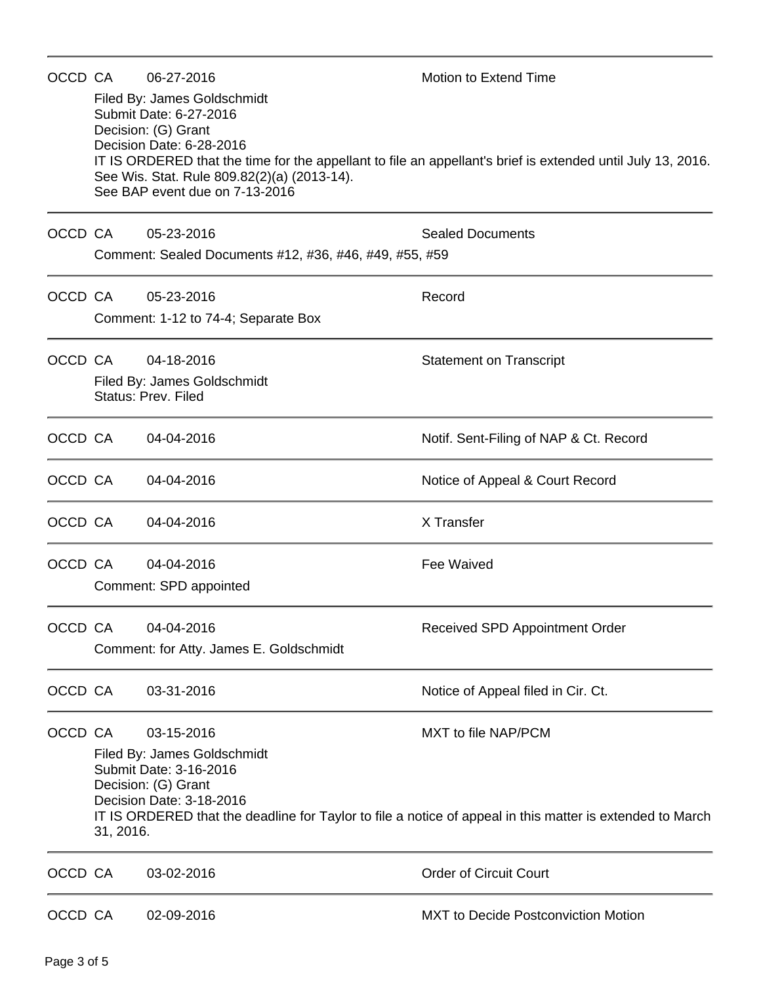| OCCD CA |                                                                                                                                                                                                                                                                         | 06-27-2016                                                                                                                                                                                | Motion to Extend Time                                                                                       |  |  |  |  |
|---------|-------------------------------------------------------------------------------------------------------------------------------------------------------------------------------------------------------------------------------------------------------------------------|-------------------------------------------------------------------------------------------------------------------------------------------------------------------------------------------|-------------------------------------------------------------------------------------------------------------|--|--|--|--|
|         |                                                                                                                                                                                                                                                                         | Filed By: James Goldschmidt<br>Submit Date: 6-27-2016<br>Decision: (G) Grant<br>Decision Date: 6-28-2016<br>See Wis. Stat. Rule 809.82(2)(a) (2013-14).<br>See BAP event due on 7-13-2016 | IT IS ORDERED that the time for the appellant to file an appellant's brief is extended until July 13, 2016. |  |  |  |  |
| OCCD CA |                                                                                                                                                                                                                                                                         | 05-23-2016                                                                                                                                                                                | <b>Sealed Documents</b>                                                                                     |  |  |  |  |
|         |                                                                                                                                                                                                                                                                         | Comment: Sealed Documents #12, #36, #46, #49, #55, #59                                                                                                                                    |                                                                                                             |  |  |  |  |
| OCCD CA |                                                                                                                                                                                                                                                                         | 05-23-2016                                                                                                                                                                                | Record                                                                                                      |  |  |  |  |
|         |                                                                                                                                                                                                                                                                         | Comment: 1-12 to 74-4; Separate Box                                                                                                                                                       |                                                                                                             |  |  |  |  |
| OCCD CA |                                                                                                                                                                                                                                                                         | 04-18-2016                                                                                                                                                                                | <b>Statement on Transcript</b>                                                                              |  |  |  |  |
|         |                                                                                                                                                                                                                                                                         | Filed By: James Goldschmidt<br><b>Status: Prev. Filed</b>                                                                                                                                 |                                                                                                             |  |  |  |  |
| OCCD CA |                                                                                                                                                                                                                                                                         | 04-04-2016                                                                                                                                                                                | Notif. Sent-Filing of NAP & Ct. Record                                                                      |  |  |  |  |
| OCCD CA |                                                                                                                                                                                                                                                                         | 04-04-2016                                                                                                                                                                                | Notice of Appeal & Court Record                                                                             |  |  |  |  |
| OCCD CA |                                                                                                                                                                                                                                                                         | 04-04-2016                                                                                                                                                                                | X Transfer                                                                                                  |  |  |  |  |
| OCCD CA |                                                                                                                                                                                                                                                                         | 04-04-2016                                                                                                                                                                                | Fee Waived                                                                                                  |  |  |  |  |
|         |                                                                                                                                                                                                                                                                         | Comment: SPD appointed                                                                                                                                                                    |                                                                                                             |  |  |  |  |
| OCCD CA |                                                                                                                                                                                                                                                                         | 04-04-2016<br>Comment: for Atty. James E. Goldschmidt                                                                                                                                     | Received SPD Appointment Order                                                                              |  |  |  |  |
| OCCD CA |                                                                                                                                                                                                                                                                         | 03-31-2016                                                                                                                                                                                | Notice of Appeal filed in Cir. Ct.                                                                          |  |  |  |  |
| OCCD CA | 03-15-2016<br>MXT to file NAP/PCM<br>Filed By: James Goldschmidt<br>Submit Date: 3-16-2016<br>Decision: (G) Grant<br>Decision Date: 3-18-2016<br>IT IS ORDERED that the deadline for Taylor to file a notice of appeal in this matter is extended to March<br>31, 2016. |                                                                                                                                                                                           |                                                                                                             |  |  |  |  |
| OCCD CA |                                                                                                                                                                                                                                                                         | 03-02-2016                                                                                                                                                                                | <b>Order of Circuit Court</b>                                                                               |  |  |  |  |
| OCCD CA |                                                                                                                                                                                                                                                                         | 02-09-2016                                                                                                                                                                                | <b>MXT</b> to Decide Postconviction Motion                                                                  |  |  |  |  |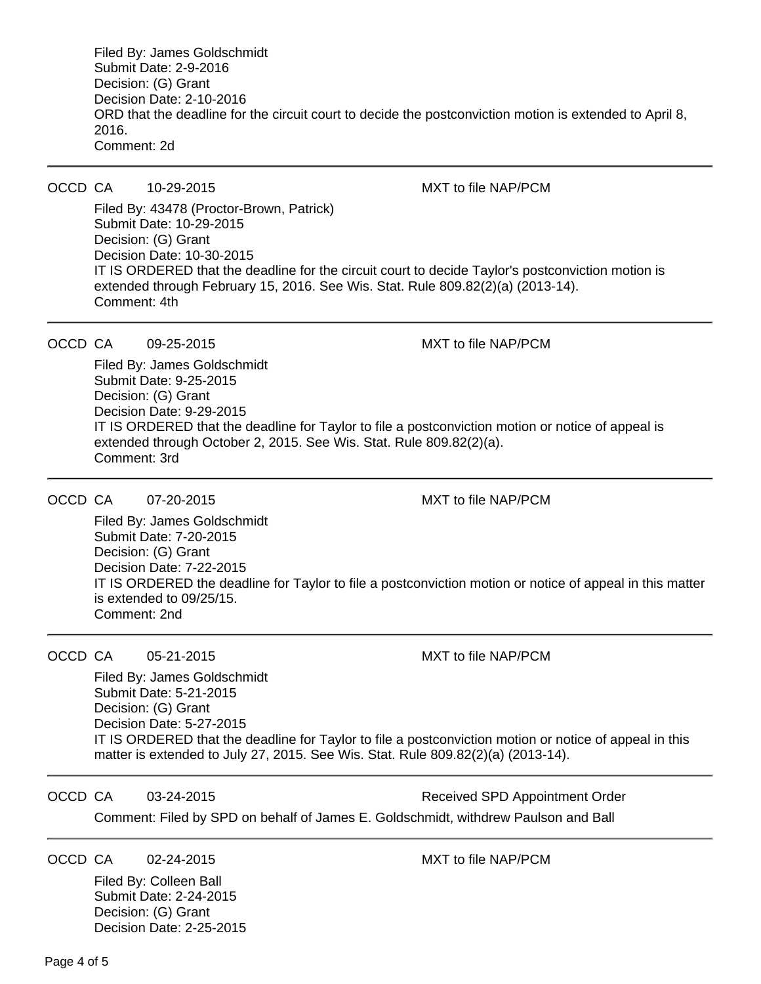Filed By: James Goldschmidt Submit Date: 2-9-2016 Decision: (G) Grant Decision Date: 2-10-2016 ORD that the deadline for the circuit court to decide the postconviction motion is extended to April 8, 2016. Comment: 2d

OCCD CA 10-29-2015 MXT to file NAP/PCM

Filed By: 43478 (Proctor-Brown, Patrick) Submit Date: 10-29-2015 Decision: (G) Grant Decision Date: 10-30-2015 IT IS ORDERED that the deadline for the circuit court to decide Taylor's postconviction motion is extended through February 15, 2016. See Wis. Stat. Rule 809.82(2)(a) (2013-14). Comment: 4th

OCCD CA 09-25-2015 MXT to file NAP/PCM

Filed By: James Goldschmidt Submit Date: 9-25-2015 Decision: (G) Grant Decision Date: 9-29-2015 IT IS ORDERED that the deadline for Taylor to file a postconviction motion or notice of appeal is extended through October 2, 2015. See Wis. Stat. Rule 809.82(2)(a). Comment: 3rd

OCCD CA 07-20-2015 MXT to file NAP/PCM

Filed By: James Goldschmidt Submit Date: 7-20-2015 Decision: (G) Grant Decision Date: 7-22-2015 IT IS ORDERED the deadline for Taylor to file a postconviction motion or notice of appeal in this matter is extended to 09/25/15. Comment: 2nd

OCCD CA 05-21-2015 MXT to file NAP/PCM

Filed By: James Goldschmidt Submit Date: 5-21-2015 Decision: (G) Grant

Decision Date: 5-27-2015 IT IS ORDERED that the deadline for Taylor to file a postconviction motion or notice of appeal in this matter is extended to July 27, 2015. See Wis. Stat. Rule 809.82(2)(a) (2013-14).

OCCD CA 03-24-2015 Received SPD Appointment Order

Comment: Filed by SPD on behalf of James E. Goldschmidt, withdrew Paulson and Ball

OCCD CA 02-24-2015 MXT to file NAP/PCM

Filed By: Colleen Ball Submit Date: 2-24-2015 Decision: (G) Grant Decision Date: 2-25-2015